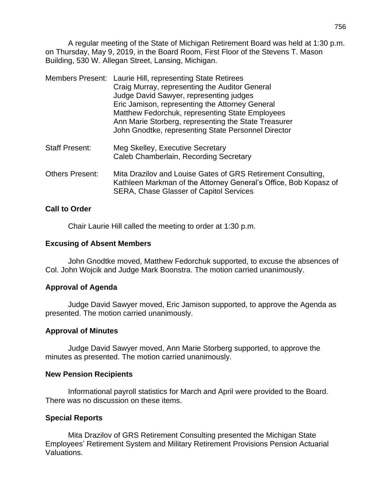A regular meeting of the State of Michigan Retirement Board was held at 1:30 p.m. on Thursday, May 9, 2019, in the Board Room, First Floor of the Stevens T. Mason Building, 530 W. Allegan Street, Lansing, Michigan.

| <b>Members Present:</b> | Laurie Hill, representing State Retirees<br>Craig Murray, representing the Auditor General<br>Judge David Sawyer, representing judges<br>Eric Jamison, representing the Attorney General<br>Matthew Fedorchuk, representing State Employees<br>Ann Marie Storberg, representing the State Treasurer<br>John Gnodtke, representing State Personnel Director |
|-------------------------|------------------------------------------------------------------------------------------------------------------------------------------------------------------------------------------------------------------------------------------------------------------------------------------------------------------------------------------------------------|
| <b>Staff Present:</b>   | Meg Skelley, Executive Secretary<br>Caleb Chamberlain, Recording Secretary                                                                                                                                                                                                                                                                                 |
| <b>Others Present:</b>  | Mita Drazilov and Louise Gates of GRS Retirement Consulting,<br>Kathleen Markman of the Attorney General's Office, Bob Kopasz of<br><b>SERA, Chase Glasser of Capitol Services</b>                                                                                                                                                                         |

# **Call to Order**

Chair Laurie Hill called the meeting to order at 1:30 p.m.

#### **Excusing of Absent Members**

John Gnodtke moved, Matthew Fedorchuk supported, to excuse the absences of Col. John Wojcik and Judge Mark Boonstra. The motion carried unanimously.

## **Approval of Agenda**

Judge David Sawyer moved, Eric Jamison supported, to approve the Agenda as presented. The motion carried unanimously.

## **Approval of Minutes**

Judge David Sawyer moved, Ann Marie Storberg supported, to approve the minutes as presented. The motion carried unanimously.

#### **New Pension Recipients**

Informational payroll statistics for March and April were provided to the Board. There was no discussion on these items.

## **Special Reports**

Mita Drazilov of GRS Retirement Consulting presented the Michigan State Employees' Retirement System and Military Retirement Provisions Pension Actuarial Valuations.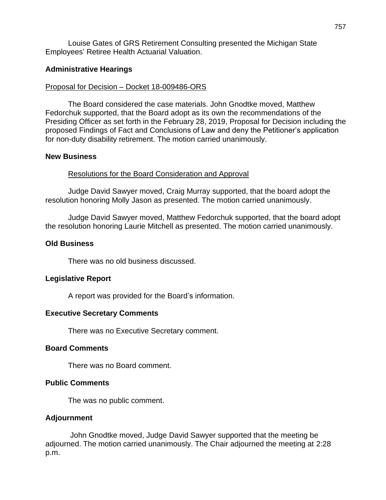Louise Gates of GRS Retirement Consulting presented the Michigan State Employees' Retiree Health Actuarial Valuation.

# **Administrative Hearings**

## Proposal for Decision – Docket 18-009486-ORS

The Board considered the case materials. John Gnodtke moved, Matthew Fedorchuk supported, that the Board adopt as its own the recommendations of the Presiding Officer as set forth in the February 28, 2019, Proposal for Decision including the proposed Findings of Fact and Conclusions of Law and deny the Petitioner's application for non-duty disability retirement. The motion carried unanimously.

#### **New Business**

## Resolutions for the Board Consideration and Approval

Judge David Sawyer moved, Craig Murray supported, that the board adopt the resolution honoring Molly Jason as presented. The motion carried unanimously.

Judge David Sawyer moved, Matthew Fedorchuk supported, that the board adopt the resolution honoring Laurie Mitchell as presented. The motion carried unanimously.

#### **Old Business**

There was no old business discussed.

## **Legislative Report**

A report was provided for the Board's information.

## **Executive Secretary Comments**

There was no Executive Secretary comment.

#### **Board Comments**

There was no Board comment.

#### **Public Comments**

The was no public comment.

## **Adjournment**

John Gnodtke moved, Judge David Sawyer supported that the meeting be adjourned. The motion carried unanimously. The Chair adjourned the meeting at 2:28 p.m.